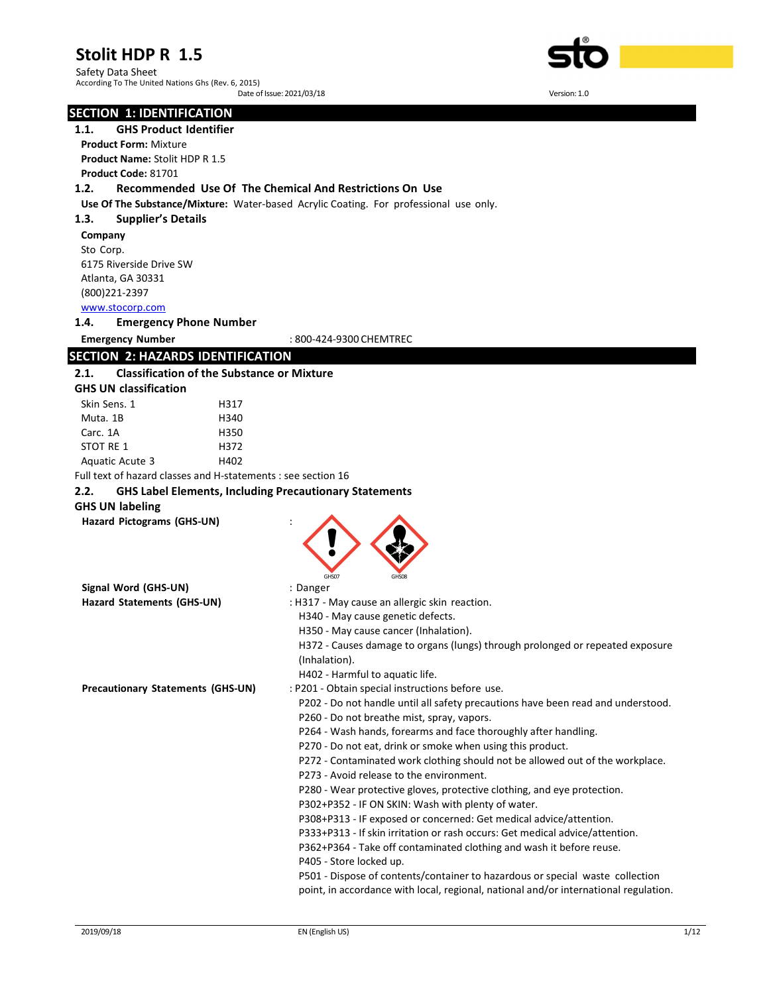Safety Data Sheet According To The United Nations Ghs (Rev. 6, 2015) Date of Issue: 2021/03/18 Version: 1.0

#### SECTION 1: IDENTIFICATION

1.1. GHS Product Identifier

Product Form: Mixture Product Name: Stolit HDP R 1.5 Product Code: 81701

#### 1.2. Recommended Use Of The Chemical And Restrictions On Use

Use Of The Substance/Mixture: Water-based Acrylic Coating. For professional use only.

#### 1.3. Supplier's Details

Company Sto Corp. 6175 Riverside Drive SW Atlanta, GA 30331 (800)221-2397 www.stocorp.com

#### 1.4. Emergency Phone Number

Emergency Number : 800-424-9300 CHEMTREC

# SECTION 2: HAZARDS IDENTIFICATION

#### 2.1. Classification of the Substance or Mixture

| <b>GHS UN classification</b> |                                                               |
|------------------------------|---------------------------------------------------------------|
| Skin Sens. 1                 | H317                                                          |
| Muta. 1B                     | H340                                                          |
| Carc. 1A                     | H350                                                          |
| STOT RE 1                    | H372                                                          |
| Aquatic Acute 3              | H402                                                          |
|                              | Full text of hazard classes and H-statements : see section 16 |

# 2.2. GHS Label Elements, Including Precautionary Statements

## GHS UN labeling

Hazard Pictograms (GHS-UN) :



| Hazard Statements (GHS-UN)        | : H317 - May cause an allergic skin reaction.                                                  |
|-----------------------------------|------------------------------------------------------------------------------------------------|
|                                   | H340 - May cause genetic defects.                                                              |
|                                   | H350 - May cause cancer (Inhalation).                                                          |
|                                   | H372 - Causes damage to organs (lungs) through prolonged or repeated exposure<br>(Inhalation). |
|                                   | H402 - Harmful to aguatic life.                                                                |
| Precautionary Statements (GHS-UN) | : P201 - Obtain special instructions before use.                                               |
|                                   | P202 - Do not handle until all safety precautions have been read and understood.               |
|                                   | P260 - Do not breathe mist, spray, vapors.                                                     |
|                                   | P264 - Wash hands, forearms and face thoroughly after handling.                                |
|                                   | P270 - Do not eat, drink or smoke when using this product.                                     |
|                                   | P272 - Contaminated work clothing should not be allowed out of the workplace.                  |
|                                   | P273 - Avoid release to the environment.                                                       |
|                                   | P280 - Wear protective gloves, protective clothing, and eye protection.                        |
|                                   | P302+P352 - IF ON SKIN: Wash with plenty of water.                                             |
|                                   | P308+P313 - IF exposed or concerned: Get medical advice/attention.                             |
|                                   | P333+P313 - If skin irritation or rash occurs: Get medical advice/attention.                   |
|                                   | P362+P364 - Take off contaminated clothing and wash it before reuse.                           |

P405 - Store locked up.

P501 - Dispose of contents/container to hazardous or special waste collection point, in accordance with local, regional, national and/or international regulation.



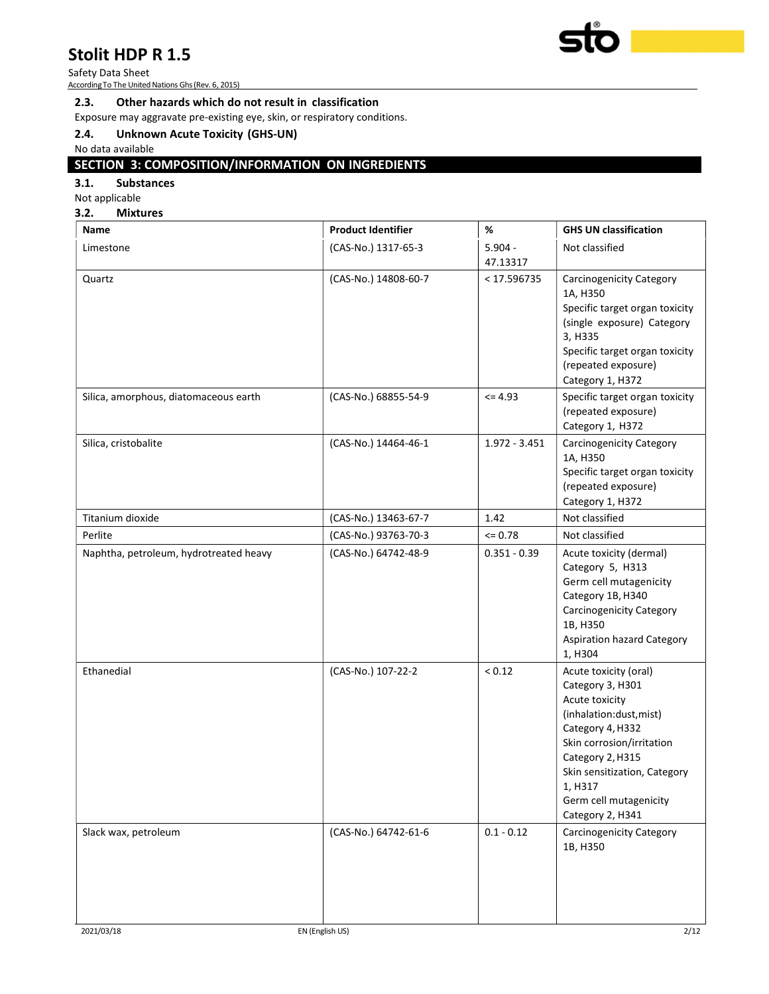Safety Data Sheet According To The United Nations Ghs (Rev. 6, 2015)



#### 2.3. Other hazards which do not result in classification

Exposure may aggravate pre-existing eye, skin, or respiratory conditions.

## 2.4. Unknown Acute Toxicity (GHS-UN)

No data available

# SECTION 3: COMPOSITION/INFORMATION ON INGREDIENTS

## 3.1. Substances

Not applicable

#### 3.2. Mixtures

| Name                                   | <b>Product Identifier</b> | %                     | <b>GHS UN classification</b>                                                                                                                                                                                                                         |
|----------------------------------------|---------------------------|-----------------------|------------------------------------------------------------------------------------------------------------------------------------------------------------------------------------------------------------------------------------------------------|
| Limestone                              | (CAS-No.) 1317-65-3       | $5.904 -$<br>47.13317 | Not classified                                                                                                                                                                                                                                       |
| Quartz                                 | (CAS-No.) 14808-60-7      | < 17.596735           | <b>Carcinogenicity Category</b><br>1A, H350<br>Specific target organ toxicity<br>(single exposure) Category<br>3, H335<br>Specific target organ toxicity<br>(repeated exposure)<br>Category 1, H372                                                  |
| Silica, amorphous, diatomaceous earth  | (CAS-No.) 68855-54-9      | $= 4.93$              | Specific target organ toxicity<br>(repeated exposure)<br>Category 1, H372                                                                                                                                                                            |
| Silica, cristobalite                   | (CAS-No.) 14464-46-1      | $1.972 - 3.451$       | <b>Carcinogenicity Category</b><br>1A, H350<br>Specific target organ toxicity<br>(repeated exposure)<br>Category 1, H372                                                                                                                             |
| Titanium dioxide                       | (CAS-No.) 13463-67-7      | 1.42                  | Not classified                                                                                                                                                                                                                                       |
| Perlite                                | (CAS-No.) 93763-70-3      | $= 0.78$              | Not classified                                                                                                                                                                                                                                       |
| Naphtha, petroleum, hydrotreated heavy | (CAS-No.) 64742-48-9      | $0.351 - 0.39$        | Acute toxicity (dermal)<br>Category 5, H313<br>Germ cell mutagenicity<br>Category 1B, H340<br><b>Carcinogenicity Category</b><br>1B, H350<br><b>Aspiration hazard Category</b><br>1, H304                                                            |
| Ethanedial                             | (CAS-No.) 107-22-2        | < 0.12                | Acute toxicity (oral)<br>Category 3, H301<br>Acute toxicity<br>(inhalation:dust, mist)<br>Category 4, H332<br>Skin corrosion/irritation<br>Category 2, H315<br>Skin sensitization, Category<br>1, H317<br>Germ cell mutagenicity<br>Category 2, H341 |
| Slack wax, petroleum                   | (CAS-No.) 64742-61-6      | $0.1 - 0.12$          | <b>Carcinogenicity Category</b><br>1B, H350                                                                                                                                                                                                          |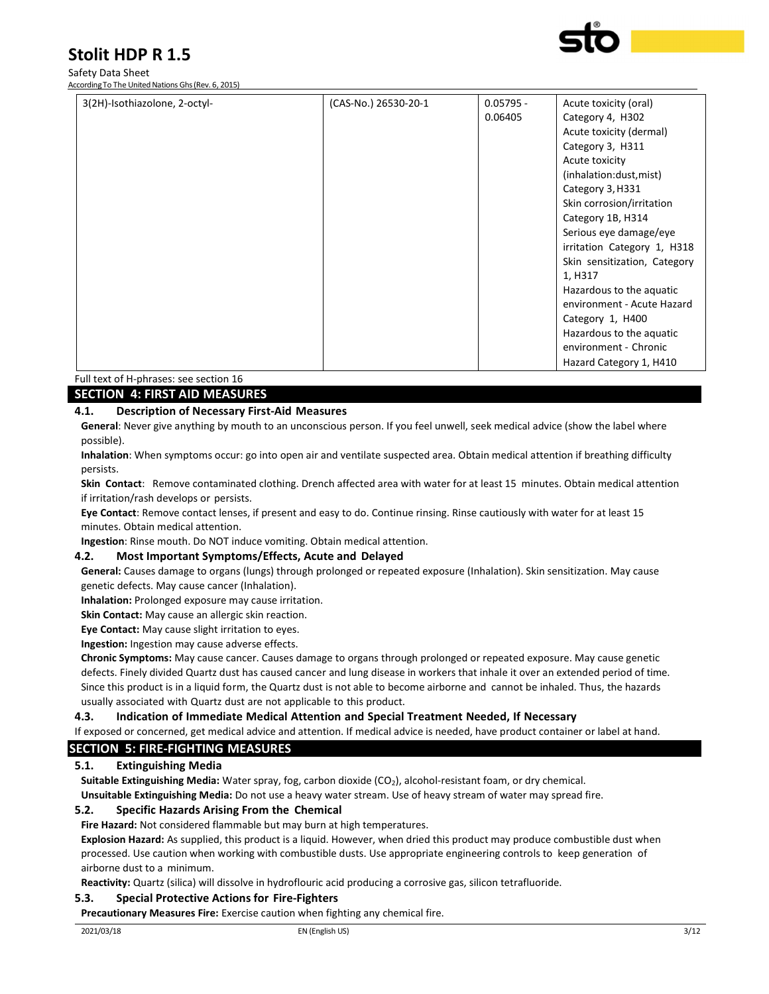# Safety Data Sheet

According To The United Nations Ghs (Rev. 6, 2015)



| 3(2H)-Isothiazolone, 2-octyl- | (CAS-No.) 26530-20-1 | $0.05795 -$<br>0.06405 | Acute toxicity (oral)<br>Category 4, H302<br>Acute toxicity (dermal)<br>Category 3, H311<br>Acute toxicity<br>(inhalation:dust, mist)<br>Category 3, H331<br>Skin corrosion/irritation<br>Category 1B, H314<br>Serious eye damage/eye<br>irritation Category 1, H318<br>Skin sensitization, Category<br>1, H317<br>Hazardous to the aquatic<br>environment - Acute Hazard |
|-------------------------------|----------------------|------------------------|---------------------------------------------------------------------------------------------------------------------------------------------------------------------------------------------------------------------------------------------------------------------------------------------------------------------------------------------------------------------------|
|                               |                      |                        | Category 1, H400<br>Hazardous to the aquatic<br>environment - Chronic<br>Hazard Category 1, H410                                                                                                                                                                                                                                                                          |

## Full text of H-phrases: see section 16

#### SECTION 4: FIRST AID MEASURES

#### 4.1. Description of Necessary First-Aid Measures

General: Never give anything by mouth to an unconscious person. If you feel unwell, seek medical advice (show the label where possible).

Inhalation: When symptoms occur: go into open air and ventilate suspected area. Obtain medical attention if breathing difficulty persists.

Skin Contact: Remove contaminated clothing. Drench affected area with water for at least 15 minutes. Obtain medical attention if irritation/rash develops or persists.

Eye Contact: Remove contact lenses, if present and easy to do. Continue rinsing. Rinse cautiously with water for at least 15 minutes. Obtain medical attention.

Ingestion: Rinse mouth. Do NOT induce vomiting. Obtain medical attention.

#### 4.2. Most Important Symptoms/Effects, Acute and Delayed

General: Causes damage to organs (lungs) through prolonged or repeated exposure (Inhalation). Skin sensitization. May cause genetic defects. May cause cancer (Inhalation).

Inhalation: Prolonged exposure may cause irritation.

Skin Contact: May cause an allergic skin reaction.

Eye Contact: May cause slight irritation to eyes.

Ingestion: Ingestion may cause adverse effects.

Chronic Symptoms: May cause cancer. Causes damage to organs through prolonged or repeated exposure. May cause genetic defects. Finely divided Quartz dust has caused cancer and lung disease in workers that inhale it over an extended period of time. Since this product is in a liquid form, the Quartz dust is not able to become airborne and cannot be inhaled. Thus, the hazards usually associated with Quartz dust are not applicable to this product.

4.3. Indication of Immediate Medical Attention and Special Treatment Needed, If Necessary

If exposed or concerned, get medical advice and attention. If medical advice is needed, have product container or label at hand.

### SECTION 5: FIRE-FIGHTING MEASURES

#### 5.1. Extinguishing Media

Suitable Extinguishing Media: Water spray, fog, carbon dioxide (CO<sub>2</sub>), alcohol-resistant foam, or dry chemical. Unsuitable Extinguishing Media: Do not use a heavy water stream. Use of heavy stream of water may spread fire.

#### 5.2. Specific Hazards Arising From the Chemical

Fire Hazard: Not considered flammable but may burn at high temperatures.

Explosion Hazard: As supplied, this product is a liquid. However, when dried this product may produce combustible dust when processed. Use caution when working with combustible dusts. Use appropriate engineering controls to keep generation of airborne dust to a minimum.

Reactivity: Quartz (silica) will dissolve in hydroflouric acid producing a corrosive gas, silicon tetrafluoride.

#### 5.3. Special Protective Actions for Fire-Fighters

Precautionary Measures Fire: Exercise caution when fighting any chemical fire.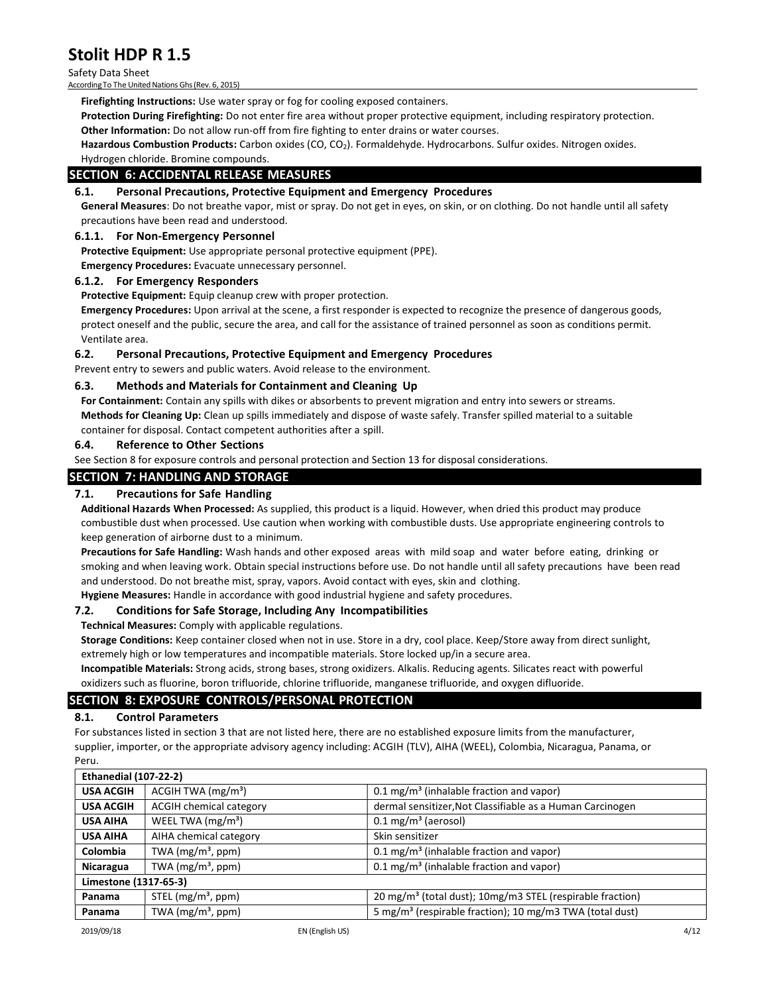Safety Data Sheet According To The United Nations Ghs (Rev. 6, 2015)

Firefighting Instructions: Use water spray or fog for cooling exposed containers.

Protection During Firefighting: Do not enter fire area without proper protective equipment, including respiratory protection. Other Information: Do not allow run-off from fire fighting to enter drains or water courses.

Hazardous Combustion Products: Carbon oxides (CO, CO<sub>2</sub>). Formaldehyde. Hydrocarbons. Sulfur oxides. Nitrogen oxides.

Hydrogen chloride. Bromine compounds.

### SECTION 6: ACCIDENTAL RELEASE MEASURES

#### 6.1. Personal Precautions, Protective Equipment and Emergency Procedures

General Measures: Do not breathe vapor, mist or spray. Do not get in eyes, on skin, or on clothing. Do not handle until all safety precautions have been read and understood.

#### 6.1.1. For Non-Emergency Personnel

Protective Equipment: Use appropriate personal protective equipment (PPE).

Emergency Procedures: Evacuate unnecessary personnel.

#### 6.1.2. For Emergency Responders

Protective Equipment: Equip cleanup crew with proper protection.

Emergency Procedures: Upon arrival at the scene, a first responder is expected to recognize the presence of dangerous goods, protect oneself and the public, secure the area, and call for the assistance of trained personnel as soon as conditions permit. Ventilate area.

#### 6.2. Personal Precautions, Protective Equipment and Emergency Procedures

Prevent entry to sewers and public waters. Avoid release to the environment.

#### 6.3. Methods and Materials for Containment and Cleaning Up

For Containment: Contain any spills with dikes or absorbents to prevent migration and entry into sewers or streams. Methods for Cleaning Up: Clean up spills immediately and dispose of waste safely. Transfer spilled material to a suitable container for disposal. Contact competent authorities after a spill.

#### 6.4. Reference to Other Sections

See Section 8 for exposure controls and personal protection and Section 13 for disposal considerations.

#### SECTION 7: HANDLING AND STORAGE

#### 7.1. Precautions for Safe Handling

Additional Hazards When Processed: As supplied, this product is a liquid. However, when dried this product may produce combustible dust when processed. Use caution when working with combustible dusts. Use appropriate engineering controls to keep generation of airborne dust to a minimum.

Precautions for Safe Handling: Wash hands and other exposed areas with mild soap and water before eating, drinking or smoking and when leaving work. Obtain special instructions before use. Do not handle until all safety precautions have been read and understood. Do not breathe mist, spray, vapors. Avoid contact with eyes, skin and clothing.

Hygiene Measures: Handle in accordance with good industrial hygiene and safety procedures.

#### 7.2. Conditions for Safe Storage, Including Any Incompatibilities

Technical Measures: Comply with applicable regulations.

Storage Conditions: Keep container closed when not in use. Store in a dry, cool place. Keep/Store away from direct sunlight, extremely high or low temperatures and incompatible materials. Store locked up/in a secure area.

Incompatible Materials: Strong acids, strong bases, strong oxidizers. Alkalis. Reducing agents. Silicates react with powerful oxidizers such as fluorine, boron trifluoride, chlorine trifluoride, manganese trifluoride, and oxygen difluoride.

### SECTION 8: EXPOSURE CONTROLS/PERSONAL PROTECTION

#### 8.1. Control Parameters

For substances listed in section 3 that are not listed here, there are no established exposure limits from the manufacturer, supplier, importer, or the appropriate advisory agency including: ACGIH (TLV), AIHA (WEEL), Colombia, Nicaragua, Panama, or Peru.

| <b>Ethanedial (107-22-2)</b> |                                |                                                                       |
|------------------------------|--------------------------------|-----------------------------------------------------------------------|
| <b>USA ACGIH</b>             | ACGIH TWA $(mg/m3)$            | $0.1 \,\mathrm{mg/m^3}$ (inhalable fraction and vapor)                |
| <b>USA ACGIH</b>             | <b>ACGIH chemical category</b> | dermal sensitizer, Not Classifiable as a Human Carcinogen             |
| <b>USA AIHA</b>              | WEEL TWA $(mg/m3)$             | $0.1 \,\mathrm{mg/m^3}$ (aerosol)                                     |
| <b>USA AIHA</b>              | AIHA chemical category         | Skin sensitizer                                                       |
| Colombia                     | TWA $(mg/m^3, ppm)$            | $0.1 \text{ mg/m}^3$ (inhalable fraction and vapor)                   |
| Nicaragua                    | TWA $(mg/m^3, ppm)$            | $0.1 \text{ mg/m}^3$ (inhalable fraction and vapor)                   |
| Limestone (1317-65-3)        |                                |                                                                       |
| Panama                       | STEL $(mg/m^3, ppm)$           | 20 mg/m <sup>3</sup> (total dust); 10mg/m3 STEL (respirable fraction) |
| Panama                       | TWA $(mg/m^3, ppm)$            | 5 mg/m <sup>3</sup> (respirable fraction); 10 mg/m3 TWA (total dust)  |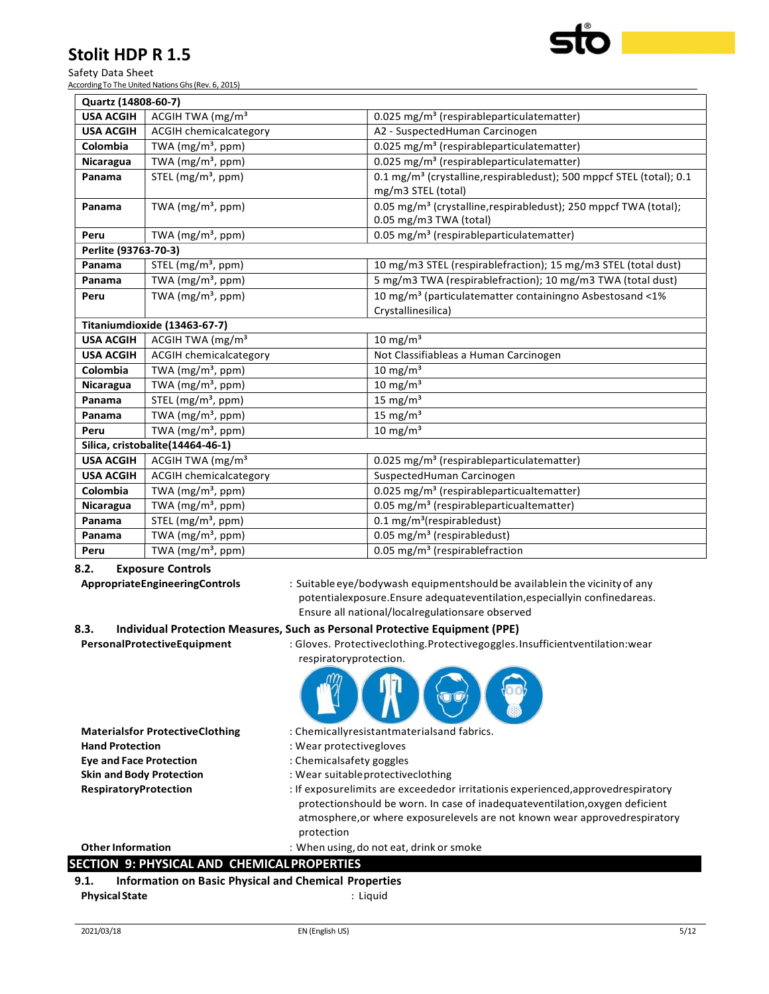Safety Data Sheet According To The United Nations Ghs (Rev. 6, 2015)

| Quartz (14808-60-7)  |                                                    |                                                                                                        |
|----------------------|----------------------------------------------------|--------------------------------------------------------------------------------------------------------|
| <b>USA ACGIH</b>     | ACGIH TWA $(mg/m3)$                                | $0.025$ mg/m <sup>3</sup> (respirableparticulatematter)                                                |
| <b>USA ACGIH</b>     | <b>ACGIH chemicalcategory</b>                      | A2 - SuspectedHuman Carcinogen                                                                         |
| Colombia             | TWA $(mg/m^3, ppm)$                                | 0.025 mg/m <sup>3</sup> (respirableparticulatematter)                                                  |
| Nicaragua            | TWA (mg/m <sup>3</sup> , ppm)                      | 0.025 mg/m <sup>3</sup> (respirableparticulatematter)                                                  |
| Panama               | STEL $(mg/m^3, ppm)$                               | 0.1 mg/m <sup>3</sup> (crystalline, respirabledust); 500 mppcf STEL (total); 0.1<br>mg/m3 STEL (total) |
| Panama               | TWA $(mg/m^3, ppm)$                                | 0.05 mg/m <sup>3</sup> (crystalline, respirabledust); 250 mppcf TWA (total);<br>0.05 mg/m3 TWA (total) |
| Peru                 | TWA ( $mg/m3$ , ppm)                               | 0.05 mg/m <sup>3</sup> (respirableparticulatematter)                                                   |
| Perlite (93763-70-3) |                                                    |                                                                                                        |
| Panama               | STEL (mg/m <sup>3</sup> , ppm)                     | 10 mg/m3 STEL (respirablefraction); 15 mg/m3 STEL (total dust)                                         |
| Panama               | TWA ( $mg/m3$ , ppm)                               | 5 mg/m3 TWA (respirablefraction); 10 mg/m3 TWA (total dust)                                            |
| Peru                 | TWA $(mg/m^3, ppm)$                                | 10 mg/m <sup>3</sup> (particulatematter containingno Asbestosand <1%                                   |
|                      |                                                    | Crystallinesilica)                                                                                     |
|                      | Titaniumdioxide (13463-67-7)                       |                                                                                                        |
| <b>USA ACGIH</b>     | ACGIH TWA $(mg/m3)$                                | 10 mg/m $3$                                                                                            |
| <b>USA ACGIH</b>     | <b>ACGIH chemicalcategory</b>                      | Not Classifiableas a Human Carcinogen                                                                  |
| Colombia             | TWA (mg/m <sup>3</sup> , ppm)                      | 10 mg/m $3$                                                                                            |
| Nicaragua            | TWA (mg/m <sup>3</sup> , ppm)                      | $10 \text{ mg/m}^3$                                                                                    |
| Panama               | STEL (mg/m <sup>3</sup> , ppm)                     | 15 mg/m $3$                                                                                            |
| Panama               | TWA $(mg/m^3, ppm)$                                | 15 mg/m $3$                                                                                            |
| Peru                 | TWA $(mg/m^3, ppm)$                                | 10 mg/m <sup>3</sup>                                                                                   |
|                      | Silica, cristobalite(14464-46-1)                   |                                                                                                        |
| <b>USA ACGIH</b>     | ACGIH TWA (mg/m <sup>3</sup>                       | 0.025 mg/m <sup>3</sup> (respirableparticulatematter)                                                  |
| <b>USA ACGIH</b>     | <b>ACGIH chemicalcategory</b>                      | SuspectedHuman Carcinogen                                                                              |
| Colombia             | TWA $(mg/m^3, ppm)$                                | 0.025 mg/m <sup>3</sup> (respirableparticualtematter)                                                  |
| Nicaragua            | TWA $(mg/m^3, ppm)$                                | 0.05 mg/m <sup>3</sup> (respirableparticualtematter)                                                   |
| Panama               | STEL (mg/m <sup>3</sup> , ppm)                     | $0.1 \text{ mg/m}^3$ (respirabledust)                                                                  |
| Panama               | $\overline{\text{TW}}$ A (mg/m <sup>3</sup> , ppm) | 0.05 mg/m <sup>3</sup> (respirabledust)                                                                |
| Peru                 | TWA $(mg/m^3, ppm)$                                | 0.05 mg/ $m3$ (respirablefraction                                                                      |

## 8.2. Exposure Controls

AppropriateEngineeringControls : Suitable eye/bodywash equipmentshould be availablein the vicinity of any potentialexposure.Ensure adequateventilation,especiallyin confinedareas. Ensure all national/localregulationsare observed

## 8.3. Individual Protection Measures, Such as Personal Protective Equipment (PPE)

PersonalProtectiveEquipment : Gloves. Protectiveclothing.Protectivegoggles.Insufficientventilation:wear

respiratoryprotection.  $nm$ 

| <b>Materialsfor ProtectiveClothing</b>                               | : Chemicallyresistantmaterialsand fabrics.                                                                                                                                                                                                                     |  |
|----------------------------------------------------------------------|----------------------------------------------------------------------------------------------------------------------------------------------------------------------------------------------------------------------------------------------------------------|--|
| <b>Hand Protection</b>                                               | : Wear protectivegloves                                                                                                                                                                                                                                        |  |
| <b>Eye and Face Protection</b>                                       | : Chemicalsafety goggles                                                                                                                                                                                                                                       |  |
| <b>Skin and Body Protection</b>                                      | : Wear suitable protective clothing                                                                                                                                                                                                                            |  |
| RespiratoryProtection                                                | : If exposurelimits are exceededor irritationis experienced, approved respiratory<br>protectionshould be worn. In case of inadequateventilation, oxygen deficient<br>atmosphere, or where exposurelevels are not known wear approved respiratory<br>protection |  |
| <b>Other Information</b>                                             | : When using, do not eat, drink or smoke                                                                                                                                                                                                                       |  |
| <b>SECTION 9: PHYSICAL AND CHEMICAL PROPERTIES</b>                   |                                                                                                                                                                                                                                                                |  |
| <b>Information on Basic Physical and Chemical Properties</b><br>9.1. |                                                                                                                                                                                                                                                                |  |
| <b>Physical State</b>                                                | : Liguid                                                                                                                                                                                                                                                       |  |
|                                                                      |                                                                                                                                                                                                                                                                |  |

**CONTRACTOR**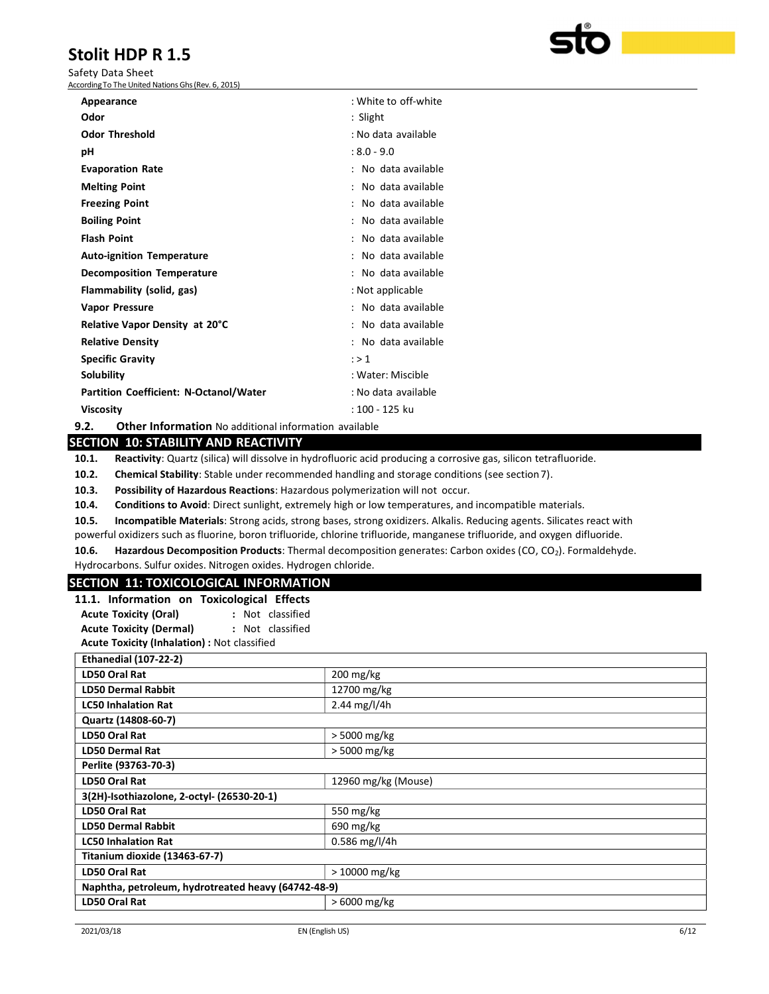Safety Data Sheet According To The United Nations Ghs (Rev. 6, 2015)

| Appearance                                    | : White to off-white |
|-----------------------------------------------|----------------------|
| Odor                                          | : Slight             |
| <b>Odor Threshold</b>                         | : No data available  |
| рH                                            | $: 8.0 - 9.0$        |
| <b>Evaporation Rate</b>                       | : No data available  |
| <b>Melting Point</b>                          | : No data available  |
| <b>Freezing Point</b>                         | : No data available  |
| <b>Boiling Point</b>                          | : No data available  |
| <b>Flash Point</b>                            | : No data available  |
| <b>Auto-ignition Temperature</b>              | : No data available  |
| <b>Decomposition Temperature</b>              | : No data available  |
| Flammability (solid, gas)                     | : Not applicable     |
| <b>Vapor Pressure</b>                         | : No data available  |
| Relative Vapor Density at 20°C                | : No data available  |
| <b>Relative Density</b>                       | : No data available  |
| <b>Specific Gravity</b>                       | : > 1                |
| Solubility                                    | : Water: Miscible    |
| <b>Partition Coefficient: N-Octanol/Water</b> | : No data available  |
| Viscosity                                     | : 100 - 125 ku       |

9.2. Other Information No additional information available

## SECTION 10: STABILITY AND REACTIVITY

10.1. Reactivity: Quartz (silica) will dissolve in hydrofluoric acid producing a corrosive gas, silicon tetrafluoride.

10.2. Chemical Stability: Stable under recommended handling and storage conditions (see section 7).

10.3. Possibility of Hazardous Reactions: Hazardous polymerization will not occur.

10.4. Conditions to Avoid: Direct sunlight, extremely high or low temperatures, and incompatible materials.

10.5. Incompatible Materials: Strong acids, strong bases, strong oxidizers. Alkalis. Reducing agents. Silicates react with

powerful oxidizers such as fluorine, boron trifluoride, chlorine trifluoride, manganese trifluoride, and oxygen difluoride.

10.6. Hazardous Decomposition Products: Thermal decomposition generates: Carbon oxides (CO, CO<sub>2</sub>). Formaldehyde. Hydrocarbons. Sulfur oxides. Nitrogen oxides. Hydrogen chloride.

### SECTION 11: TOXICOLOGICAL INFORMATION

| 11.1. Information on Toxicological Effects   |                  |  |
|----------------------------------------------|------------------|--|
| <b>Acute Toxicity (Oral)</b>                 | : Not classified |  |
| <b>Acute Toxicity (Dermal)</b>               | : Not classified |  |
| Acute Toxicity (Inhalation) : Not classified |                  |  |

| 200 mg/kg                                           |  |  |
|-----------------------------------------------------|--|--|
| 12700 mg/kg                                         |  |  |
| $2.44$ mg/l/4h                                      |  |  |
|                                                     |  |  |
| > 5000 mg/kg                                        |  |  |
| > 5000 mg/kg                                        |  |  |
| Perlite (93763-70-3)                                |  |  |
| 12960 mg/kg (Mouse)                                 |  |  |
| 3(2H)-Isothiazolone, 2-octyl- (26530-20-1)          |  |  |
| 550 mg/kg                                           |  |  |
| $690$ mg/kg                                         |  |  |
| $0.586$ mg/l/4h                                     |  |  |
| Titanium dioxide (13463-67-7)                       |  |  |
| $>10000$ mg/kg                                      |  |  |
| Naphtha, petroleum, hydrotreated heavy (64742-48-9) |  |  |
| $>6000$ mg/kg                                       |  |  |
|                                                     |  |  |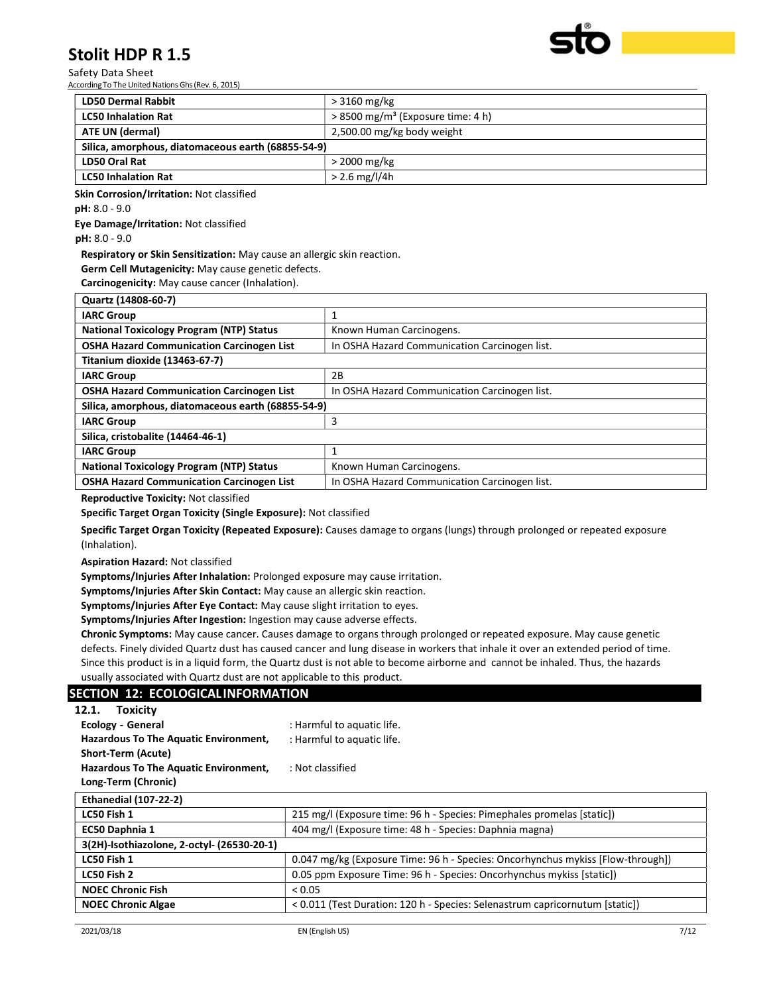Safety Data Sheet According To The United Nations Ghs (Rev. 6, 2015)

| <b>LD50 Dermal Rabbit</b>                          | $>3160$ mg/kg                                   |  |
|----------------------------------------------------|-------------------------------------------------|--|
| <b>LC50 Inhalation Rat</b>                         | $> 8500$ mg/m <sup>3</sup> (Exposure time: 4 h) |  |
| <b>ATE UN (dermal)</b>                             | 2,500.00 mg/kg body weight                      |  |
| Silica, amorphous, diatomaceous earth (68855-54-9) |                                                 |  |
| LD50 Oral Rat                                      | $>$ 2000 mg/kg                                  |  |
| <b>LC50 Inhalation Rat</b>                         | $> 2.6$ mg/l/4h                                 |  |

Skin Corrosion/Irritation: Not classified

pH: 8.0 - 9.0

Eye Damage/Irritation: Not classified

pH: 8.0 - 9.0

Respiratory or Skin Sensitization: May cause an allergic skin reaction.

Germ Cell Mutagenicity: May cause genetic defects.

Carcinogenicity: May cause cancer (Inhalation).

| Quartz (14808-60-7)                                |                                               |  |
|----------------------------------------------------|-----------------------------------------------|--|
| <b>IARC Group</b>                                  |                                               |  |
| <b>National Toxicology Program (NTP) Status</b>    | Known Human Carcinogens.                      |  |
| <b>OSHA Hazard Communication Carcinogen List</b>   | In OSHA Hazard Communication Carcinogen list. |  |
| Titanium dioxide (13463-67-7)                      |                                               |  |
| <b>IARC Group</b>                                  | 2B                                            |  |
| <b>OSHA Hazard Communication Carcinogen List</b>   | In OSHA Hazard Communication Carcinogen list. |  |
| Silica, amorphous, diatomaceous earth (68855-54-9) |                                               |  |
| <b>IARC Group</b>                                  | 3                                             |  |
| Silica, cristobalite (14464-46-1)                  |                                               |  |
| <b>IARC Group</b>                                  |                                               |  |
| <b>National Toxicology Program (NTP) Status</b>    | Known Human Carcinogens.                      |  |
| <b>OSHA Hazard Communication Carcinogen List</b>   | In OSHA Hazard Communication Carcinogen list. |  |

Reproductive Toxicity: Not classified

Specific Target Organ Toxicity (Single Exposure): Not classified

Specific Target Organ Toxicity (Repeated Exposure): Causes damage to organs (lungs) through prolonged or repeated exposure (Inhalation).

Aspiration Hazard: Not classified

Symptoms/Injuries After Inhalation: Prolonged exposure may cause irritation.

Symptoms/Injuries After Skin Contact: May cause an allergic skin reaction.

Symptoms/Injuries After Eye Contact: May cause slight irritation to eyes.

Symptoms/Injuries After Ingestion: Ingestion may cause adverse effects.

Chronic Symptoms: May cause cancer. Causes damage to organs through prolonged or repeated exposure. May cause genetic defects. Finely divided Quartz dust has caused cancer and lung disease in workers that inhale it over an extended period of time. Since this product is in a liquid form, the Quartz dust is not able to become airborne and cannot be inhaled. Thus, the hazards usually associated with Quartz dust are not applicable to this product.

### SECTION 12: ECOLOGICAL INFORMATION

| <b>Toxicity</b><br>12.1.                     |                                                                                 |
|----------------------------------------------|---------------------------------------------------------------------------------|
| <b>Ecology - General</b>                     | : Harmful to aquatic life.                                                      |
| <b>Hazardous To The Aquatic Environment,</b> | : Harmful to aquatic life.                                                      |
| Short-Term (Acute)                           |                                                                                 |
| Hazardous To The Aquatic Environment,        | : Not classified                                                                |
| Long-Term (Chronic)                          |                                                                                 |
| <b>Ethanedial (107-22-2)</b>                 |                                                                                 |
| LC50 Fish 1                                  | 215 mg/l (Exposure time: 96 h - Species: Pimephales promelas [static])          |
| EC50 Daphnia 1                               | 404 mg/l (Exposure time: 48 h - Species: Daphnia magna)                         |
| 3(2H)-Isothiazolone, 2-octyl- (26530-20-1)   |                                                                                 |
| LC50 Fish 1                                  | 0.047 mg/kg (Exposure Time: 96 h - Species: Oncorhynchus mykiss [Flow-through]) |
| LC50 Fish 2                                  | 0.05 ppm Exposure Time: 96 h - Species: Oncorhynchus mykiss [static])           |
| <b>NOEC Chronic Fish</b>                     | < 0.05                                                                          |
| <b>NOEC Chronic Algae</b>                    | <0.011 (Test Duration: 120 h - Species: Selenastrum capricornutum [static])     |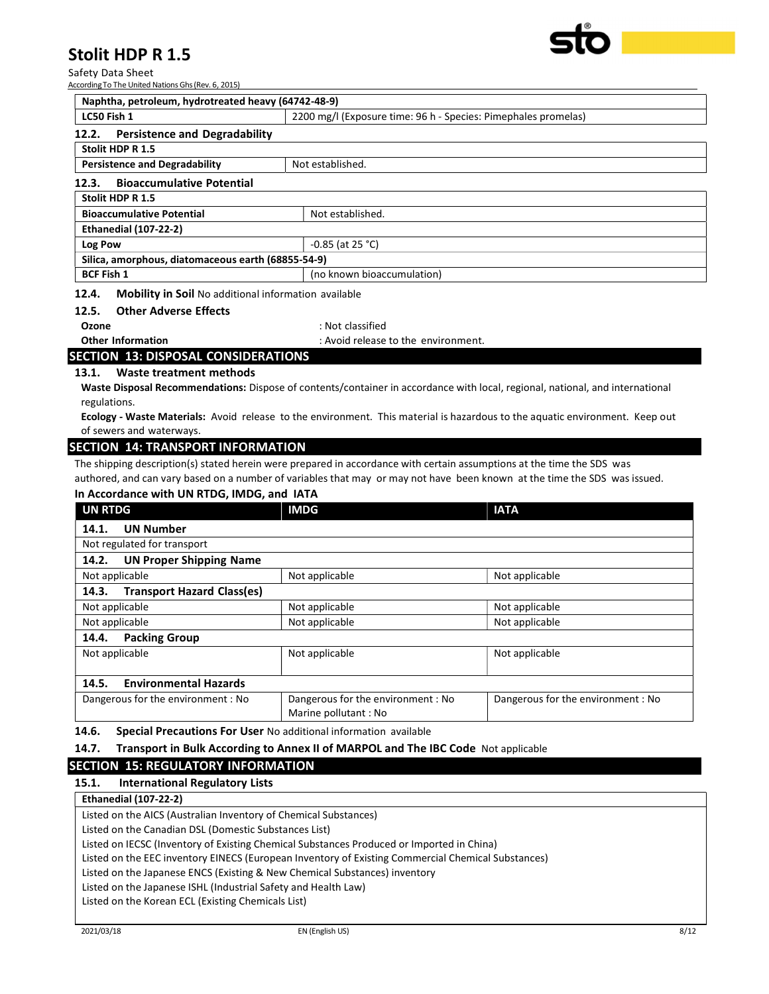Safety Data Sheet According To The United Nations Ghs (Rev. 6, 2015)

| Naphtha, petroleum, hydrotreated heavy (64742-48-9)                           |                    |  |
|-------------------------------------------------------------------------------|--------------------|--|
| LC50 Fish 1<br>2200 mg/l (Exposure time: 96 h - Species: Pimephales promelas) |                    |  |
| <b>Persistence and Degradability</b><br>12.2.                                 |                    |  |
| Stolit HDP R 1.5                                                              |                    |  |
| <b>Persistence and Degradability</b>                                          | Not established.   |  |
| <b>Bioaccumulative Potential</b><br>12.3.                                     |                    |  |
| Stolit HDP R 1.5                                                              |                    |  |
| <b>Bioaccumulative Potential</b>                                              | Not established.   |  |
| <b>Ethanedial (107-22-2)</b>                                                  |                    |  |
| Log Pow                                                                       | $-0.85$ (at 25 °C) |  |
| Silica, amorphous, diatomaceous earth (68855-54-9)                            |                    |  |
| <b>BCF Fish 1</b><br>(no known bioaccumulation)                               |                    |  |
| 12 A<br>Mobility in Soil Ne additional information available                  |                    |  |

#### 12.4. Mobility in Soil No additional information available

#### 12.5. Other Adverse Effects

Ozone : Not classified

Other Information **Community** : Avoid release to the environment.

## SECTION 13: DISPOSAL CONSIDERATIONS

#### 13.1. Waste treatment methods

Waste Disposal Recommendations: Dispose of contents/container in accordance with local, regional, national, and international regulations.

Ecology - Waste Materials: Avoid release to the environment. This material is hazardous to the aquatic environment. Keep out of sewers and waterways.

#### SECTION 14: TRANSPORT INFORMATION

The shipping description(s) stated herein were prepared in accordance with certain assumptions at the time the SDS was authored, and can vary based on a number of variables that may or may not have been known at the time the SDS was issued.

| In Accordance with UN RTDG, IMDG, and IATA |                                   |                                                           |                                   |
|--------------------------------------------|-----------------------------------|-----------------------------------------------------------|-----------------------------------|
| <b>UN RTDG</b>                             |                                   | <b>IMDG</b>                                               | <b>IATA</b>                       |
| 14.1.                                      | <b>UN Number</b>                  |                                                           |                                   |
|                                            | Not regulated for transport       |                                                           |                                   |
| 14.2.                                      | <b>UN Proper Shipping Name</b>    |                                                           |                                   |
| Not applicable                             |                                   | Not applicable                                            | Not applicable                    |
| 14.3.                                      | <b>Transport Hazard Class(es)</b> |                                                           |                                   |
| Not applicable                             |                                   | Not applicable                                            | Not applicable                    |
|                                            | Not applicable                    | Not applicable                                            | Not applicable                    |
| 14.4.                                      | <b>Packing Group</b>              |                                                           |                                   |
| Not applicable                             |                                   | Not applicable                                            | Not applicable                    |
| 14.5.                                      | <b>Environmental Hazards</b>      |                                                           |                                   |
|                                            | Dangerous for the environment: No | Dangerous for the environment: No<br>Marine pollutant: No | Dangerous for the environment: No |

14.6. Special Precautions For User No additional information available

#### 14.7. Transport in Bulk According to Annex II of MARPOL and The IBC Code Not applicable

### SECTION 15: REGULATORY INFORMATION

15.1. International Regulatory Lists

#### Ethanedial (107-22-2)

Listed on the AICS (Australian Inventory of Chemical Substances) Listed on the Canadian DSL (Domestic Substances List) Listed on IECSC (Inventory of Existing Chemical Substances Produced or Imported in China) Listed on the EEC inventory EINECS (European Inventory of Existing Commercial Chemical Substances) Listed on the Japanese ENCS (Existing & New Chemical Substances) inventory Listed on the Japanese ISHL (Industrial Safety and Health Law) Listed on the Korean ECL (Existing Chemicals List)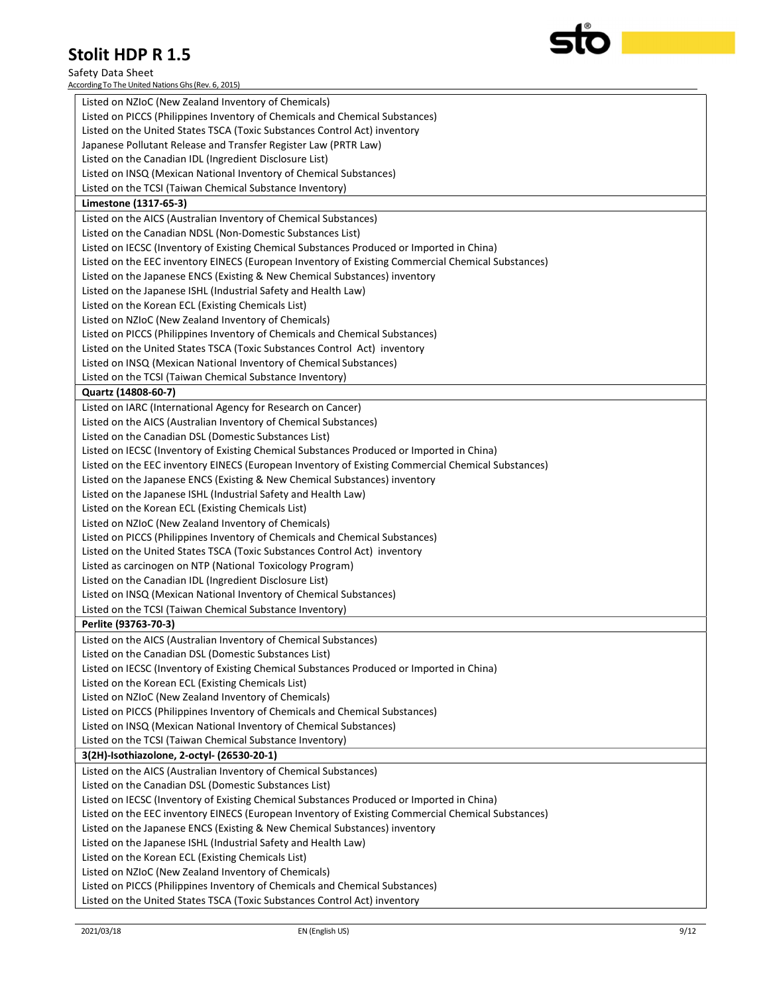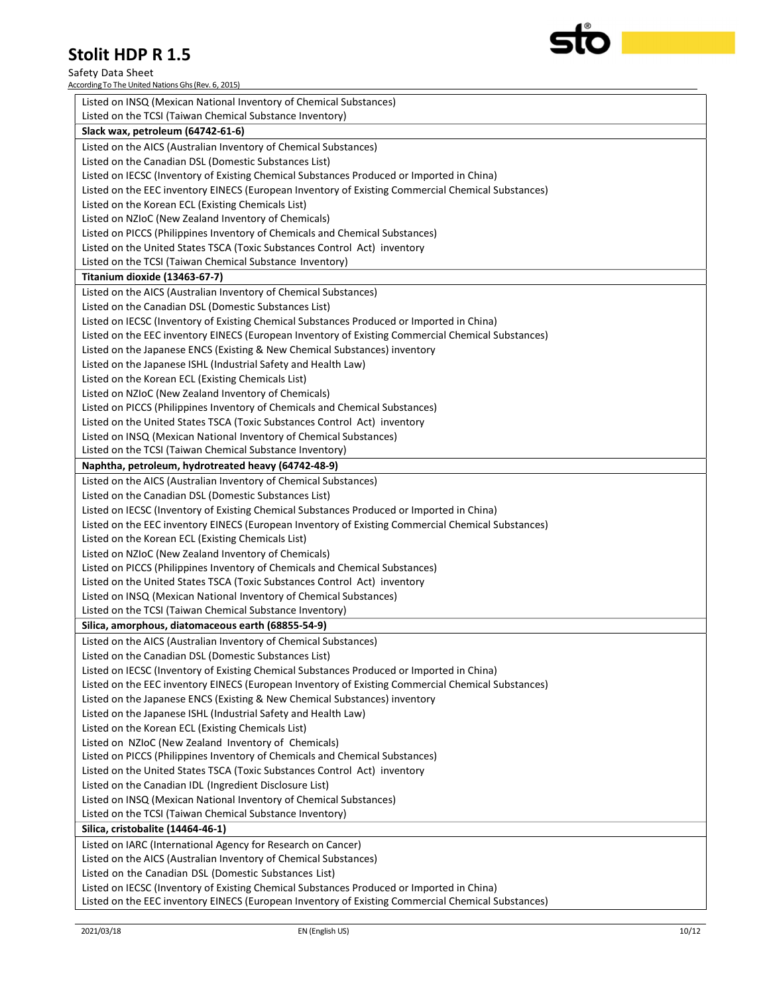Safety Data Sheet According To The United Nations Ghs (Rev. 6, 2015)

| Listed on INSQ (Mexican National Inventory of Chemical Substances)                                 |
|----------------------------------------------------------------------------------------------------|
| Listed on the TCSI (Taiwan Chemical Substance Inventory)                                           |
| Slack wax, petroleum (64742-61-6)                                                                  |
| Listed on the AICS (Australian Inventory of Chemical Substances)                                   |
| Listed on the Canadian DSL (Domestic Substances List)                                              |
| Listed on IECSC (Inventory of Existing Chemical Substances Produced or Imported in China)          |
| Listed on the EEC inventory EINECS (European Inventory of Existing Commercial Chemical Substances) |
| Listed on the Korean ECL (Existing Chemicals List)                                                 |
| Listed on NZIoC (New Zealand Inventory of Chemicals)                                               |
| Listed on PICCS (Philippines Inventory of Chemicals and Chemical Substances)                       |
| Listed on the United States TSCA (Toxic Substances Control Act) inventory                          |
| Listed on the TCSI (Taiwan Chemical Substance Inventory)                                           |
| Titanium dioxide (13463-67-7)                                                                      |
| Listed on the AICS (Australian Inventory of Chemical Substances)                                   |
| Listed on the Canadian DSL (Domestic Substances List)                                              |
| Listed on IECSC (Inventory of Existing Chemical Substances Produced or Imported in China)          |
| Listed on the EEC inventory EINECS (European Inventory of Existing Commercial Chemical Substances) |
| Listed on the Japanese ENCS (Existing & New Chemical Substances) inventory                         |
| Listed on the Japanese ISHL (Industrial Safety and Health Law)                                     |
| Listed on the Korean ECL (Existing Chemicals List)                                                 |
| Listed on NZIoC (New Zealand Inventory of Chemicals)                                               |
| Listed on PICCS (Philippines Inventory of Chemicals and Chemical Substances)                       |
| Listed on the United States TSCA (Toxic Substances Control Act) inventory                          |
| Listed on INSQ (Mexican National Inventory of Chemical Substances)                                 |
| Listed on the TCSI (Taiwan Chemical Substance Inventory)                                           |
| Naphtha, petroleum, hydrotreated heavy (64742-48-9)                                                |
| Listed on the AICS (Australian Inventory of Chemical Substances)                                   |
| Listed on the Canadian DSL (Domestic Substances List)                                              |
| Listed on IECSC (Inventory of Existing Chemical Substances Produced or Imported in China)          |
| Listed on the EEC inventory EINECS (European Inventory of Existing Commercial Chemical Substances) |
| Listed on the Korean ECL (Existing Chemicals List)                                                 |
| Listed on NZIoC (New Zealand Inventory of Chemicals)                                               |
| Listed on PICCS (Philippines Inventory of Chemicals and Chemical Substances)                       |
| Listed on the United States TSCA (Toxic Substances Control Act) inventory                          |
| Listed on INSQ (Mexican National Inventory of Chemical Substances)                                 |
| Listed on the TCSI (Taiwan Chemical Substance Inventory)                                           |
| Silica, amorphous, diatomaceous earth (68855-54-9)                                                 |
| Listed on the AICS (Australian Inventory of Chemical Substances)                                   |
| Listed on the Canadian DSL (Domestic Substances List)                                              |
| Listed on IECSC (Inventory of Existing Chemical Substances Produced or Imported in China)          |
| Listed on the EEC inventory EINECS (European Inventory of Existing Commercial Chemical Substances) |
| Listed on the Japanese ENCS (Existing & New Chemical Substances) inventory                         |
| Listed on the Japanese ISHL (Industrial Safety and Health Law)                                     |
| Listed on the Korean ECL (Existing Chemicals List)                                                 |
| Listed on NZIoC (New Zealand Inventory of Chemicals)                                               |
| Listed on PICCS (Philippines Inventory of Chemicals and Chemical Substances)                       |
| Listed on the United States TSCA (Toxic Substances Control Act) inventory                          |
| Listed on the Canadian IDL (Ingredient Disclosure List)                                            |
| Listed on INSQ (Mexican National Inventory of Chemical Substances)                                 |
| Listed on the TCSI (Taiwan Chemical Substance Inventory)                                           |
| Silica, cristobalite (14464-46-1)                                                                  |
| Listed on IARC (International Agency for Research on Cancer)                                       |
| Listed on the AICS (Australian Inventory of Chemical Substances)                                   |
| Listed on the Canadian DSL (Domestic Substances List)                                              |
| Listed on IECSC (Inventory of Existing Chemical Substances Produced or Imported in China)          |
| Listed on the EEC inventory EINECS (European Inventory of Existing Commercial Chemical Substances) |
|                                                                                                    |

| ®

C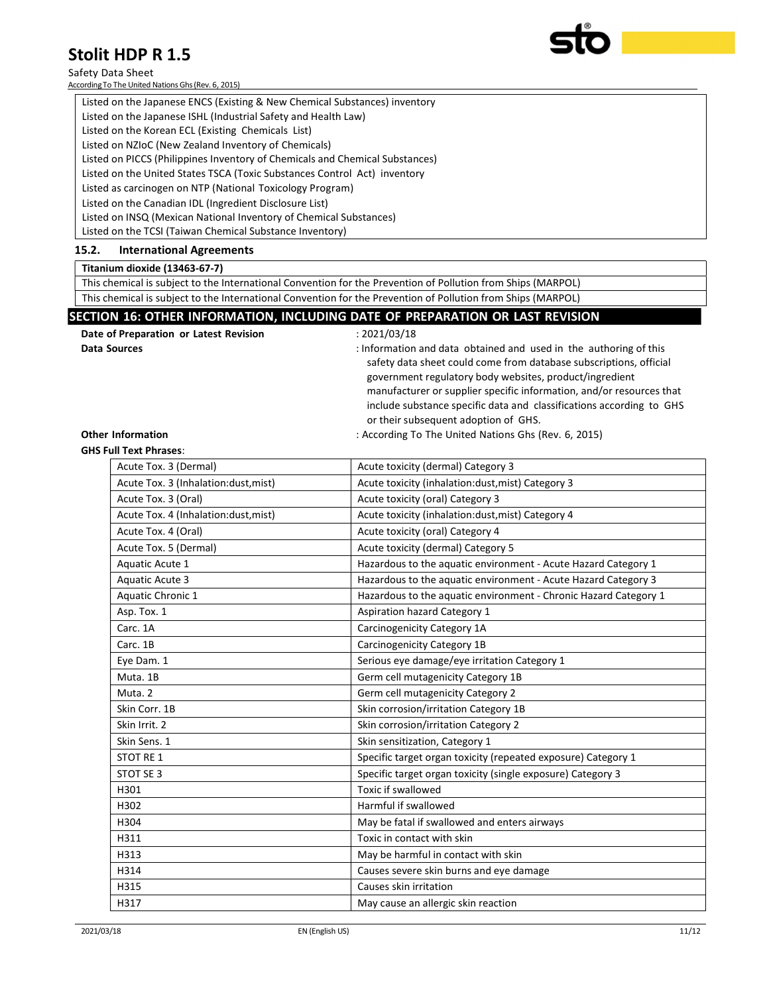#### Safety Data Sheet

According To The United Nations Ghs (Rev. 6, 2015)

| כ.ב ח CUIL שנו                                                                                                                                                                                                                                                                                                                                                                                           |  |
|----------------------------------------------------------------------------------------------------------------------------------------------------------------------------------------------------------------------------------------------------------------------------------------------------------------------------------------------------------------------------------------------------------|--|
| fety Data Sheet<br>ording To The United Nations Ghs (Rev. 6, 2015)                                                                                                                                                                                                                                                                                                                                       |  |
| Listed on the Japanese ENCS (Existing & New Chemical Substances) inventory<br>$\sim$ . The state of the state of the state of the state of the state of the state of the state of the state of the state of the state of the state of the state of the state of the state of the state of the state of the st<br>$\mathbf{r}$ , $\mathbf{r}$ , $\mathbf{r}$ , $\mathbf{r}$ , $\mathbf{r}$ , $\mathbf{r}$ |  |

Listed on the Japanese ISHL (Industrial Safety and Health Law) Listed on the Korean ECL (Existing Chemicals List) Listed on NZIoC (New Zealand Inventory of Chemicals) Listed on PICCS (Philippines Inventory of Chemicals and Chemical Substances) Listed on the United States TSCA (Toxic Substances Control Act) inventory Listed as carcinogen on NTP (National Toxicology Program) Listed on the Canadian IDL (Ingredient Disclosure List) Listed on INSQ (Mexican National Inventory of Chemical Substances)

Listed on the TCSI (Taiwan Chemical Substance Inventory)

#### 15.2. International Agreements

#### Titanium dioxide (13463-67-7)

This chemical is subject to the International Convention for the Prevention of Pollution from Ships (MARPOL) This chemical is subject to the International Convention for the Prevention of Pollution from Ships (MARPOL)

#### SECTION 16: OTHER INFORMATION, INCLUDING DATE OF PREPARATION OR LAST REVISION

| Date of Preparation or Latest Revision | : 2021/03/18                                                                                                                                                                                                                                                                                                                                                                               |
|----------------------------------------|--------------------------------------------------------------------------------------------------------------------------------------------------------------------------------------------------------------------------------------------------------------------------------------------------------------------------------------------------------------------------------------------|
| Data Sources                           | : Information and data obtained and used in the authoring of this<br>safety data sheet could come from database subscriptions, official<br>government regulatory body websites, product/ingredient<br>manufacturer or supplier specific information, and/or resources that<br>include substance specific data and classifications according to GHS<br>or their subsequent adoption of GHS. |
| <b>Other Information</b>               | : According To The United Nations Ghs (Rev. 6, 2015)                                                                                                                                                                                                                                                                                                                                       |

## GHS Full Text Phrases:

| Acute Tox. 3 (Dermal)                | Acute toxicity (dermal) Category 3                               |
|--------------------------------------|------------------------------------------------------------------|
| Acute Tox. 3 (Inhalation:dust, mist) | Acute toxicity (inhalation:dust, mist) Category 3                |
| Acute Tox. 3 (Oral)                  | Acute toxicity (oral) Category 3                                 |
| Acute Tox. 4 (Inhalation:dust, mist) | Acute toxicity (inhalation: dust, mist) Category 4               |
| Acute Tox. 4 (Oral)                  | Acute toxicity (oral) Category 4                                 |
| Acute Tox. 5 (Dermal)                | Acute toxicity (dermal) Category 5                               |
| Aquatic Acute 1                      | Hazardous to the aquatic environment - Acute Hazard Category 1   |
| <b>Aquatic Acute 3</b>               | Hazardous to the aquatic environment - Acute Hazard Category 3   |
| Aquatic Chronic 1                    | Hazardous to the aquatic environment - Chronic Hazard Category 1 |
| Asp. Tox. 1                          | Aspiration hazard Category 1                                     |
| Carc. 1A                             | Carcinogenicity Category 1A                                      |
| Carc. 1B                             | Carcinogenicity Category 1B                                      |
| Eye Dam. 1                           | Serious eye damage/eye irritation Category 1                     |
| Muta. 1B                             | Germ cell mutagenicity Category 1B                               |
| Muta. 2                              | Germ cell mutagenicity Category 2                                |
| Skin Corr. 1B                        | Skin corrosion/irritation Category 1B                            |
| Skin Irrit. 2                        | Skin corrosion/irritation Category 2                             |
| Skin Sens. 1                         | Skin sensitization, Category 1                                   |
| <b>STOT RE1</b>                      | Specific target organ toxicity (repeated exposure) Category 1    |
| STOT SE 3                            | Specific target organ toxicity (single exposure) Category 3      |
| H301                                 | <b>Toxic if swallowed</b>                                        |
| H302                                 | Harmful if swallowed                                             |
| H304                                 | May be fatal if swallowed and enters airways                     |
| H311                                 | Toxic in contact with skin                                       |
| H313                                 | May be harmful in contact with skin                              |
| H314                                 | Causes severe skin burns and eye damage                          |
| H315                                 | Causes skin irritation                                           |
| H317                                 | May cause an allergic skin reaction                              |
|                                      |                                                                  |